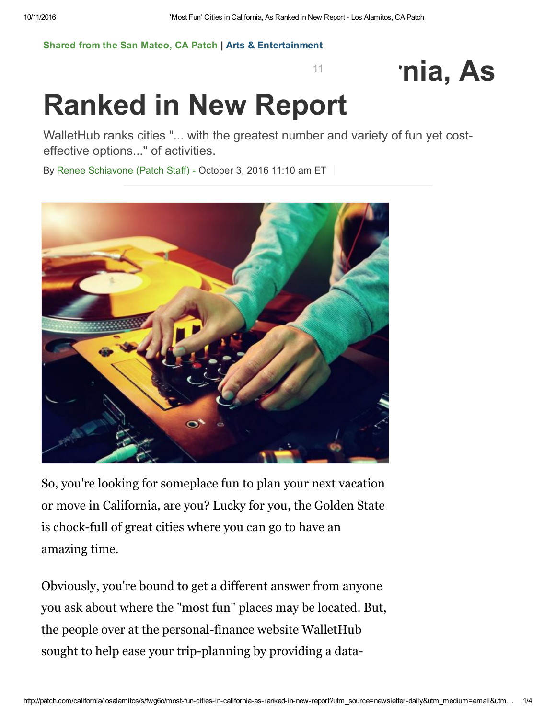11

## [Shared](http://patch.com/california/sanmateo) from the San Mateo, CA Patch | Arts & [Entertainment](http://patch.com/california/sanmateo/arts-entertainment)

## 'nia, As

## Ranked in New Report

WalletHub ranks cities "... with the greatest number and variety of fun yet costeffective options..." of activities.

By Renee [Schiavone](http://patch.com/users/renee-schiavone) (Patch Staff) - October 3, 2016 11:10 am ET



So, you're looking for someplace fun to plan your next vacation or move in California, are you? Lucky for you, the Golden State is chock-full of great cities where you can go to have an amazing time.

Obviously, you're bound to get a different answer from anyone you ask about where the "most fun" places may be located. But, the people over at the personal-finance website WalletHub sought to help ease your trip-planning by providing a data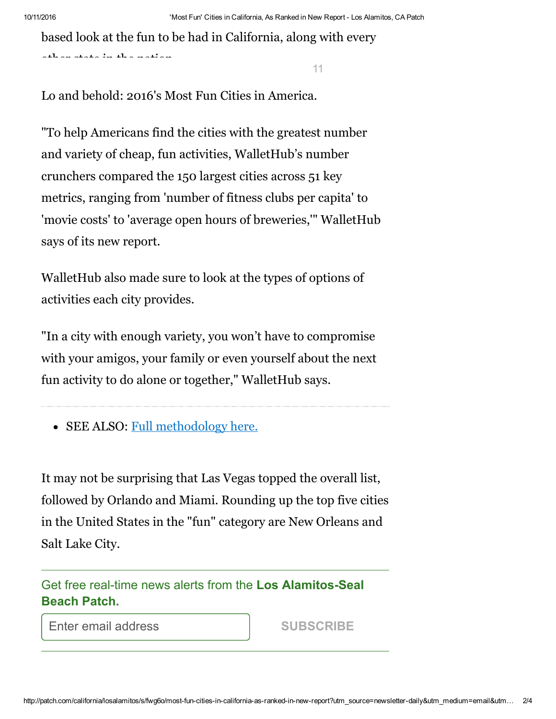based look at the fun to be had in California, along with every

11

Lo and behold: 2016's Most Fun Cities in America.

[other](https://www.facebook.com/sharer/sharer.php?u=http%3A//patch.com/california/sanmateo/most-fun-cities-california-ranked-new-report) state in the [natio](https://twitter.com/intent/tweet?text=%27Most%20Fun%27%20Cities%20in%20California%2C%20As%20Ranked%20in%20New%20Report&url=http%3A//patch.com/california/sanmateo/most-fun-cities-california-ranked-new-report)[n.](https://plus.google.com/share?url=http%3A//patch.com/california/sanmateo/most-fun-cities-california-ranked-new-report&t=%27Most%20Fun%27%20Cities%20in%20California%2C%20As%20Ranked%20in%20New%20Report)

"To help Americans find the cities with the greatest number and variety of cheap, fun activities, WalletHub's number crunchers compared the 150 largest cities across 51 key metrics, ranging from 'number of fitness clubs per capita' to 'movie costs' to 'average open hours of breweries,'" WalletHub says of its new report.

WalletHub also made sure to look at the types of options of activities each city provides.

"In a city with enough variety, you won't have to compromise with your amigos, your family or even yourself about the next fun activity to do alone or together," WalletHub says.

• SEE ALSO: Full [methodology](https://wallethub.com/edu/most-fun-cities-in-the-us/23455/#methodology) here.

It may not be surprising that Las Vegas topped the overall list, followed by Orlando and Miami. Rounding up the top five cities in the United States in the "fun" category are New Orleans and Salt Lake City.

Get free real-time news alerts from the Los Alamitos-Seal Beach Patch.

Enter email address

SUBSCRIBE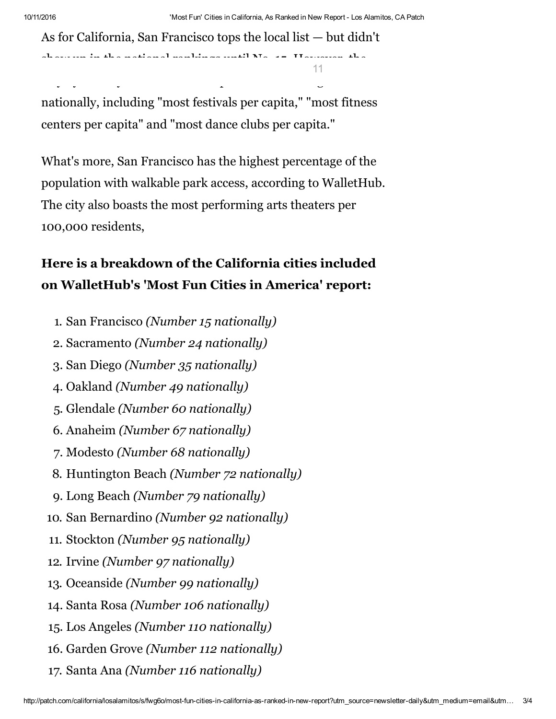11

As for California, San Francisco tops the local list — but didn't

show up in the [national](https://twitter.com/intent/tweet?text=%27Most%20Fun%27%20Cities%20in%20California%2C%20As%20Ranked%20in%20New%20Report&url=http%3A//patch.com/california/sanmateo/most-fun-cities-california-ranked-new-report) [rankings](http://www.reddit.com/submit?url=http%3A//patch.com/california/sanmateo/most-fun-cities-california-ranked-new-report&title=%27Most%20Fun%27%20Cities%20in%20California%2C%20As%20Ranked%20in%20New%20Report) until No. 15. However, the

[City](https://www.facebook.com/sharer/sharer.php?u=http%3A//patch.com/california/sanmateo/most-fun-cities-california-ranked-new-report) by the Bay did land in the top of some [subcatego](http://patch.com/california/losalamitos/s/fwg6o/most-fun-cities-in-california-as-ranked-in-new-report?utm_source=newsletter-daily&utm_medium=email&utm_term=arts+%26+entertainment&utm_campaign=newsletter&utm_content=article-topstories#comments)ries

nationally, including "most festivals per capita," "most fitness centers per capita" and "most dance clubs per capita."

What's more, San Francisco has the highest percentage of the population with walkable park access, according to WalletHub. The city also boasts the most performing arts theaters per 100,000 residents,

## Here is a breakdown of the California cities included on WalletHub's 'Most Fun Cities in America' report:

- 1. San Francisco (Number 15 nationally)
- 2. Sacramento (Number 24 nationally)
- 3. San Diego (Number 35 nationally)
- 4. Oakland (Number 49 nationally)
- 5. Glendale (Number 60 nationally)
- 6. Anaheim (Number 67 nationally)
- 7. Modesto (Number 68 nationally)
- 8. Huntington Beach (Number 72 nationally)
- 9. Long Beach (Number 79 nationally)
- 10. San Bernardino (Number 92 nationally)
- 11. Stockton (Number 95 nationally)
- 12. Irvine (Number 97 nationally)
- 13. Oceanside (Number 99 nationally)
- 14. Santa Rosa (Number 106 nationally)
- 15. Los Angeles (Number 110 nationally)
- 16. Garden Grove (Number 112 nationally)
- 17. Santa Ana (Number 116 nationally)